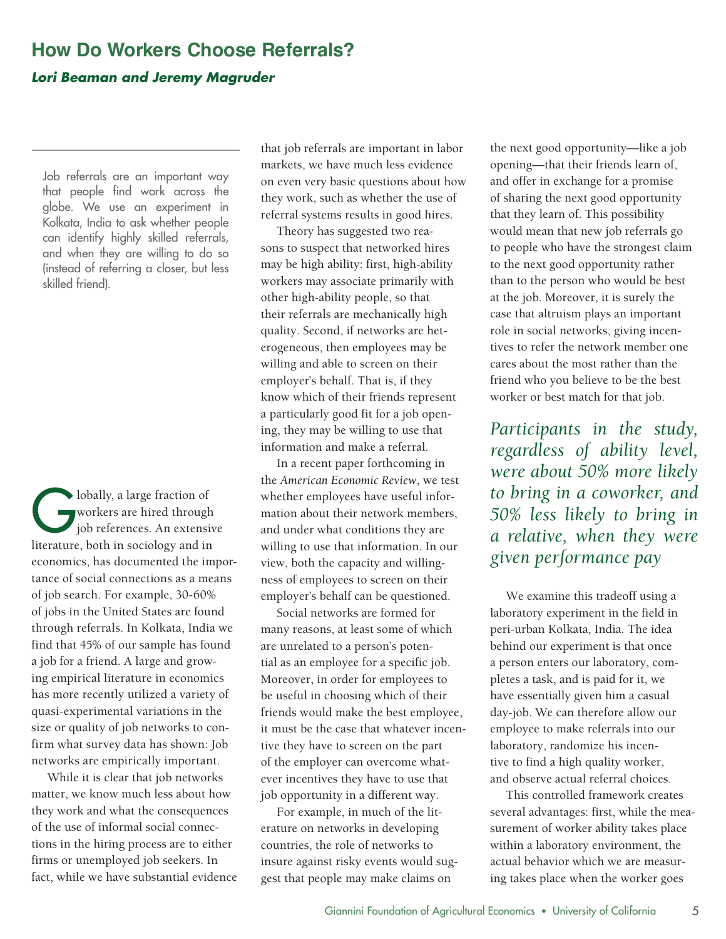## **How Do Workers Choose Referrals?**  *Lori Beaman and Jeremy Magruder*

Job referrals are an important way that people find work across the globe. We use an experiment in Kolkata, India to ask whether people can identify highly skilled referrals, and when they are willing to do so (instead of referring a closer, but less skilled friend).

Iobally, a large fraction of<br>
yorkers are hired through<br>
job references. An extensi workers are hired through job references. An extensive literature, both in sociology and in economics, has documented the importance of social connections as a means of job search. For example, 30-60% of jobs in the United States are found through referrals. In Kolkata, India we find that 45% of our sample has found a job for a friend. A large and growing empirical literature in economics has more recently utilized a variety of quasi-experimental variations in the size or quality of job networks to confirm what survey data has shown: Job networks are empirically important.

While it is clear that job networks matter, we know much less about how they work and what the consequences of the use of informal social connections in the hiring process are to either firms or unemployed job seekers. In fact, while we have substantial evidence that job referrals are important in labor markets, we have much less evidence on even very basic questions about how they work, such as whether the use of referral systems results in good hires.

Theory has suggested two reasons to suspect that networked hires may be high ability: first, high-ability workers may associate primarily with other high-ability people, so that their referrals are mechanically high quality. Second, if networks are heterogeneous, then employees may be willing and able to screen on their employer's behalf. That is, if they know which of their friends represent a particularly good fit for a job opening, they may be willing to use that information and make a referral.

In a recent paper forthcoming in the *American Economic Review*, we test whether employees have useful information about their network members, and under what conditions they are willing to use that information. In our view, both the capacity and willingness of employees to screen on their employer's behalf can be questioned.

Social networks are formed for many reasons, at least some of which are unrelated to a person's potential as an employee for a specific job. Moreover, in order for employees to be useful in choosing which of their friends would make the best employee, it must be the case that whatever incentive they have to screen on the part of the employer can overcome whatever incentives they have to use that job opportunity in a different way.

For example, in much of the literature on networks in developing countries, the role of networks to insure against risky events would suggest that people may make claims on

the next good opportunity—like a job opening—that their friends learn of, and offer in exchange for a promise of sharing the next good opportunity that they learn of. This possibility would mean that new job referrals go to people who have the strongest claim to the next good opportunity rather than to the person who would be best at the job. Moreover, it is surely the case that altruism plays an important role in social networks, giving incentives to refer the network member one cares about the most rather than the friend who you believe to be the best worker or best match for that job.

*Participants in the study, regardless of ability level, were about 50% more likely to bring in a coworker, and 50% less likely to bring in a relative, when they were given performance pay* 

We examine this tradeoff using a laboratory experiment in the field in peri-urban Kolkata, India. The idea behind our experiment is that once a person enters our laboratory, completes a task, and is paid for it, we have essentially given him a casual day-job. We can therefore allow our employee to make referrals into our laboratory, randomize his incentive to find a high quality worker, and observe actual referral choices.

This controlled framework creates several advantages: first, while the measurement of worker ability takes place within a laboratory environment, the actual behavior which we are measuring takes place when the worker goes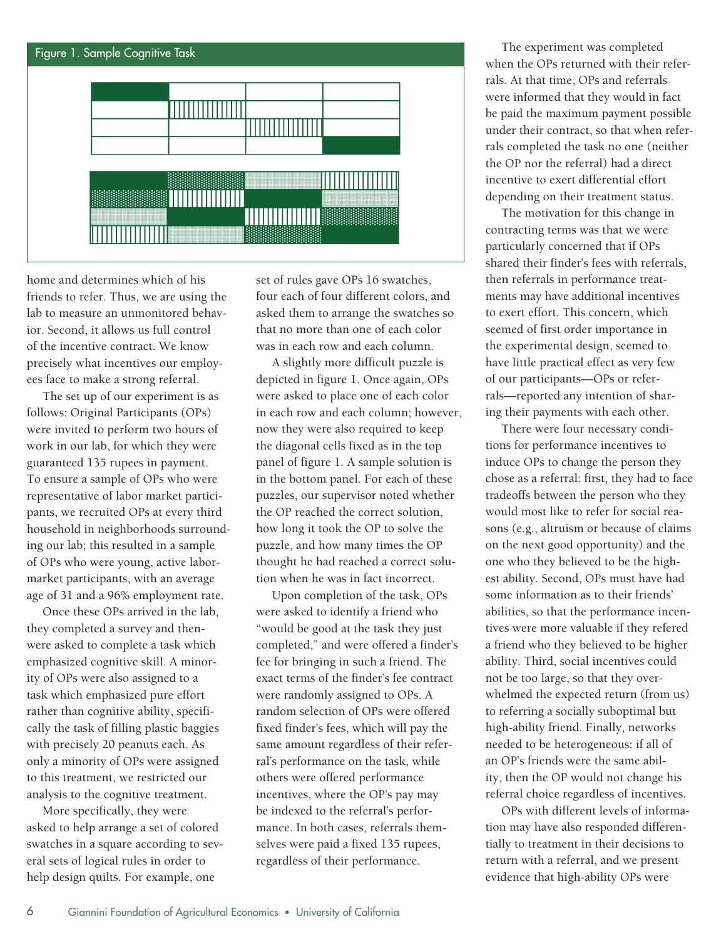

home and determines which of his friends to refer. Thus, we are using the lab to measure an unmonitored behavior. Second, it allows us full control of the incentive contract. We know precisely what incentives our employees face to make a strong referral.

The set up of our experiment is as follows: Original Participants (OPs) were invited to perform two hours of work in our lab, for which they were guaranteed 135 rupees in payment. To ensure a sample of OPs who were representative of labor market participants, we recruited OPs at every third household in neighborhoods surrounding our lab; this resulted in a sample of OPs who were young, active labormarket participants, with an average age of 31 and a 96% employment rate.

Once these OPs arrived in the lab, they completed a survey and thenwere asked to complete a task which emphasized cognitive skill. A minority of OPs were also assigned to a task which emphasized pure effort rather than cognitive ability, specifically the task of filling plastic baggies with precisely 20 peanuts each. As only a minority of OPs were assigned to this treatment, we restricted our analysis to the cognitive treatment.

More specifically, they were asked to help arrange a set of colored swatches in a square according to several sets of logical rules in order to help design quilts. For example, one

set of rules gave OPs 16 swatches, four each of four different colors, and asked them to arrange the swatches so that no more than one of each color was in each row and each column.

A slightly more difficult puzzle is depicted in figure 1. Once again, OPs were asked to place one of each color in each row and each column; however, now they were also required to keep the diagonal cells fixed as in the top panel of figure 1. A sample solution is in the bottom panel. For each of these puzzles, our supervisor noted whether the OP reached the correct solution, how long it took the OP to solve the puzzle, and how many times the OP thought he had reached a correct solution when he was in fact incorrect.

Upon completion of the task, OPs were asked to identify a friend who "would be good at the task they just completed," and were offered a finder's fee for bringing in such a friend. The exact terms of the finder's fee contract were randomly assigned to OPs. A random selection of OPs were offered fixed finder's fees, which will pay the same amount regardless of their referral's performance on the task, while others were offered performance incentives, where the OP's pay may be indexed to the referral's performance. In both cases, referrals themselves were paid a fixed 135 rupees, regardless of their performance.

The experiment was completed when the OPs returned with their referrals. At that time, OPs and referrals were informed that they would in fact be paid the maximum payment possible under their contract, so that when referrals completed the task no one (neither the OP nor the referral) had a direct incentive to exert differential effort depending on their treatment status.

The motivation for this change in contracting terms was that we were particularly concerned that if OPs shared their finder's fees with referrals, then referrals in performance treatments may have additional incentives to exert effort. This concern, which seemed of first order importance in the experimental design, seemed to have little practical effect as very few of our participants—OPs or referrals—reported any intention of sharing their payments with each other.

There were four necessary conditions for performance incentives to induce OPs to change the person they chose as a referral: first, they had to face tradeoffs between the person who they would most like to refer for social reasons (e.g., altruism or because of claims on the next good opportunity) and the one who they believed to be the highest ability. Second, OPs must have had some information as to their friends' abilities, so that the performance incentives were more valuable if they refered a friend who they believed to be higher ability. Third, social incentives could not be too large, so that they overwhelmed the expected return (from us) to referring a socially suboptimal but high-ability friend. Finally, networks needed to be heterogeneous: if all of an OP's friends were the same ability, then the OP would not change his referral choice regardless of incentives.

OPs with different levels of information may have also responded differentially to treatment in their decisions to return with a referral, and we present evidence that high-ability OPs were